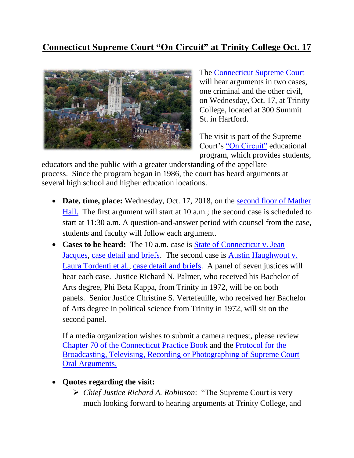## **Connecticut Supreme Court "On Circuit" at Trinity College Oct. 17**



The [Connecticut Supreme Court](https://jud.ct.gov/supremecourt/) will hear arguments in two cases, one criminal and the other civil, on Wednesday, Oct. 17, at Trinity College, located at 300 Summit St. in Hartford.

The visit is part of the Supreme Court's ["On Circuit"](https://www.jud.ct.gov/external/supapp/Circuit/default.htm) educational program, which provides students,

educators and the public with a greater understanding of the appellate process. Since the program began in 1986, the court has heard arguments at several high school and higher education locations.

- Date, time, place: Wednesday, Oct. 17, 2018, on the second floor of Mather [Hall.](https://map.trincoll.edu/) The first argument will start at 10 a.m.; the second case is scheduled to start at 11:30 a.m. A question-and-answer period with counsel from the case, students and faculty will follow each argument.
- **Cases to be heard:** The 10 a.m. case is **State of Connecticut v. Jean** [Jacques,](https://jud.ct.gov/external/supapp/summaries/docket/19783.htm) [case detail and briefs.](http://appellateinquiry.jud.ct.gov/CaseDetail.aspx?CRN=54736&Type=AppealNo) The second case is [Austin Haughwout v.](https://jud.ct.gov/external/supapp/summaries/docket/20076.htm)  [Laura Tordenti et al.,](https://jud.ct.gov/external/supapp/summaries/docket/20076.htm) [case detail and briefs.](http://appellateinquiry.jud.ct.gov/CaseDetail.aspx?CRN=58251&Type=AppealNo) A panel of seven justices will hear each case. Justice Richard N. Palmer, who received his Bachelor of Arts degree, Phi Beta Kappa, from Trinity in 1972, will be on both panels. Senior Justice Christine S. Vertefeuille, who received her Bachelor of Arts degree in political science from Trinity in 1972, will sit on the second panel.

If a media organization wishes to submit a camera request, please review [Chapter 70 of the Connecticut Practice Book](http://www.jud.ct.gov/pb.htm) and the [Protocol for the](http://www.jud.ct.gov/external/supapp/protocol_sup_oral_argu.htm)  [Broadcasting, Televising, Recording or Photographing of Supreme Court](http://www.jud.ct.gov/external/supapp/protocol_sup_oral_argu.htm)  [Oral Arguments.](http://www.jud.ct.gov/external/supapp/protocol_sup_oral_argu.htm)

## **Quotes regarding the visit:**

 *Chief Justice Richard A. Robinson*: "The Supreme Court is very much looking forward to hearing arguments at Trinity College, and